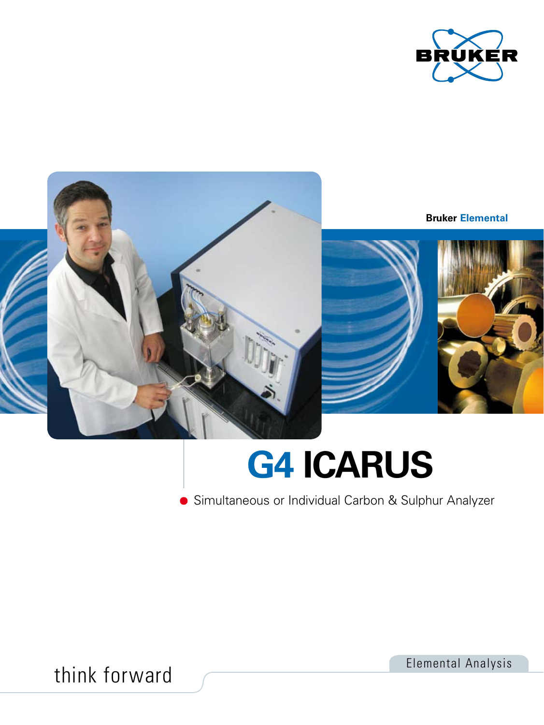



# **G4 ICARUS**

Simultaneous or Individual Carbon & Sulphur Analyzer

think forward **Elemental Analysis**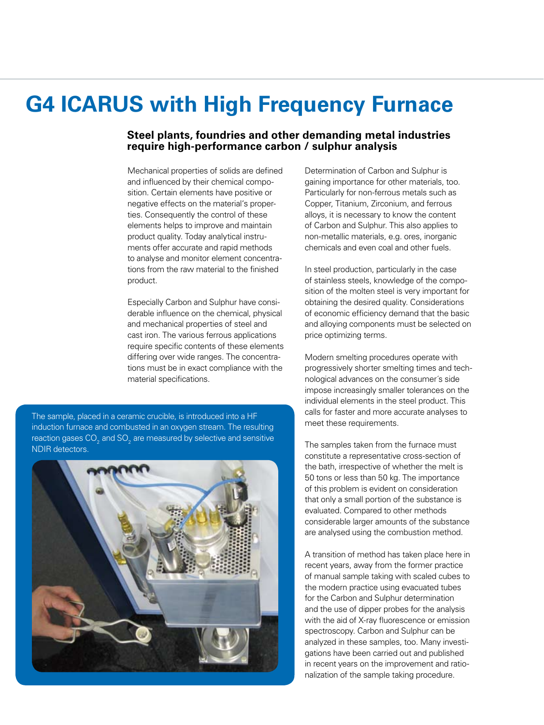### **G4 ICARUS with High Frequency Furnace**

### **Steel plants, foundries and other demanding metal industries require high-performance carbon / sulphur analysis**

Mechanical properties of solids are defined and influenced by their chemical composition. Certain elements have positive or negative effects on the material's properties. Consequently the control of these elements helps to improve and maintain product quality. Today analytical instruments offer accurate and rapid methods to analyse and monitor element concentrations from the raw material to the finished product.

Especially Carbon and Sulphur have considerable influence on the chemical, physical and mechanical properties of steel and cast iron. The various ferrous applications require specific contents of these elements differing over wide ranges. The concentrations must be in exact compliance with the material specifications.

The sample, placed in a ceramic crucible, is introduced into a HF induction furnace and combusted in an oxygen stream. The resulting reaction gases CO<sub>2</sub> and SO<sub>2</sub> are measured by selective and sensitive NDIR detectors.



Determination of Carbon and Sulphur is gaining importance for other materials, too. Particularly for non-ferrous metals such as Copper, Titanium, Zirconium, and ferrous alloys, it is necessary to know the content of Carbon and Sulphur. This also applies to non-metallic materials, e.g. ores, inorganic chemicals and even coal and other fuels.

In steel production, particularly in the case of stainless steels, knowledge of the composition of the molten steel is very important for obtaining the desired quality. Considerations of economic efficiency demand that the basic and alloying components must be selected on price optimizing terms.

Modern smelting procedures operate with progressively shorter smelting times and technological advances on the consumer´s side impose increasingly smaller tolerances on the individual elements in the steel product. This calls for faster and more accurate analyses to meet these requirements.

The samples taken from the furnace must constitute a representative cross-section of the bath, irrespective of whether the melt is 50 tons or less than 50 kg. The importance of this problem is evident on consideration that only a small portion of the substance is evaluated. Compared to other methods considerable larger amounts of the substance are analysed using the combustion method.

A transition of method has taken place here in recent years, away from the former practice of manual sample taking with scaled cubes to the modern practice using evacuated tubes for the Carbon and Sulphur determination and the use of dipper probes for the analysis with the aid of X-ray fluorescence or emission spectroscopy. Carbon and Sulphur can be analyzed in these samples, too. Many investigations have been carried out and published in recent years on the improvement and rationalization of the sample taking procedure.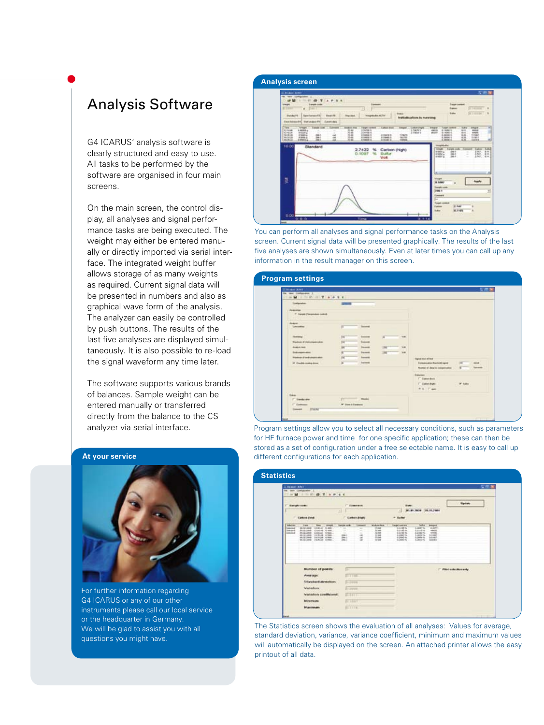### Analysis Software

G4 ICARUS' analysis software is clearly structured and easy to use. All tasks to be performed by the software are organised in four main screens.

On the main screen, the control display, all analyses and signal performance tasks are being executed. The weight may either be entered manually or directly imported via serial interface. The integrated weight buffer allows storage of as many weights as required. Current signal data will be presented in numbers and also as graphical wave form of the analysis. The analyzer can easily be controlled by push buttons. The results of the last five analyses are displayed simultaneously. It is also possible to re-load the signal waveform any time later.

The software supports various brands of balances. Sample weight can be entered manually or transferred directly from the balance to the CS analyzer via serial interface.

#### **At your service**



For further information regarding G4 ICARUS or any of our other instruments please call our local service or the headquarter in Germany. We will be glad to assist you with all questions you might have.

You can perform all analyses and signal performance tasks on the Analysis screen. Current signal data will be presented graphically. The results of the last five analyses are shown simultaneously. Even at later times you can call up any information in the result manager on this screen.

| $2.014 - 0.001$                       |                                         |                                                     | 互用属                    |
|---------------------------------------|-----------------------------------------|-----------------------------------------------------|------------------------|
| last component I<br>.                 |                                         |                                                     |                        |
| <b>Türkiyodon</b>                     | $\overline{\phantom{a}}$                |                                                     |                        |
| <b><i><u><u>Angelenge</u></u></i></b> |                                         |                                                     |                        |
| 4 Sarah Pietensian (untuk             |                                         |                                                     |                        |
| <b>Braker</b>                         |                                         |                                                     |                        |
| <b>Laternative</b>                    | m<br><b>Terrant</b>                     |                                                     |                        |
| <b>Skenman</b>                        | 19K<br><b>SANING</b><br>×               | $-4$                                                |                        |
| <b>Redoct &amp; Advertising Ave.</b>  | <b>Salesman</b><br>198                  |                                                     |                        |
| <b>ALAN AND</b>                       | w<br><b>State</b><br><b>ING</b>         | 5.46                                                |                        |
| <b>Enforcement</b>                    | $\overline{a}$<br><b>Income</b><br>1947 | <b>Side</b>                                         |                        |
| Washington of the development about   | <b>kansas</b><br>194                    |                                                     |                        |
| IF Could company.                     | <b>Terms</b><br>$\overline{a}$          | <b>Tight the of the</b><br>Eiropeouto Auctioblisand | <b>SECURE</b>          |
|                                       |                                         | Norther of days to comparedly                       | texas<br>$\frac{1}{2}$ |
|                                       |                                         | <b>Dalariser</b>                                    |                        |
|                                       |                                         | IT Easterdays                                       |                        |
|                                       |                                         | IT Dalen Buhl                                       | of take                |
|                                       |                                         | A S. Cam                                            |                        |
| <b>Takes</b>                          |                                         |                                                     |                        |
| <b>Deadly she</b>                     | <b>Contract Made</b>                    |                                                     |                        |
|                                       | W Steel Edward                          |                                                     |                        |

Program settings allow you to select all necessary conditions, such as parameters for HF furnace power and time for one specific application; these can then be stored as a set of configuration under a free selectable name. It is easy to call up different configurations for each application.

| <b>Elisabet ANY</b><br><b>MAR COMMANDERS</b> E                                                                                                                                           |                                                                                                                                                                                        |                                                                                                        |                                              |                                                                                               |                                                                                                     |                                                                                                          |                                                                               |                            | 反燃度 |
|------------------------------------------------------------------------------------------------------------------------------------------------------------------------------------------|----------------------------------------------------------------------------------------------------------------------------------------------------------------------------------------|--------------------------------------------------------------------------------------------------------|----------------------------------------------|-----------------------------------------------------------------------------------------------|-----------------------------------------------------------------------------------------------------|----------------------------------------------------------------------------------------------------------|-------------------------------------------------------------------------------|----------------------------|-----|
| <b>Sangki code</b><br><b>Carbon Band</b>                                                                                                                                                 |                                                                                                                                                                                        | з                                                                                                      | <b>C. Engineer</b><br><b>Carbon Bright</b>   |                                                                                               | <b>Fight</b><br>٠<br>* Suite                                                                        | 341.89.2908 05.05.2600                                                                                   |                                                                               | <b>Signifiate</b>          |     |
| <b>Marian</b><br><b>Trans</b><br><b>WE'LL JOHN</b><br><b>AMAZINE</b><br><b>Solution</b><br><b>BL15 (RH</b><br><b>London</b><br>ALC: UNK<br><b>WATER LINES</b><br>MLG JAN<br>\$5,12, (49) | <b>Titule</b><br><b>Alleged</b><br>$10.16 - 1$<br>1,444<br>17:44:06<br>6.166<br><b>Linkedd</b><br>6 Kill<br>10010-006<br>$41$ Tokyo<br>Undergrad Artists<br><b>CALLAGE</b><br>ALC: UNK | <b>Lances Lank</b><br>$\mathcal{L}$<br>$\overline{\phantom{a}}$<br>$100 - 1$<br>m                      | <b><i><u>Internet</u></i></b><br>÷<br>×<br>и | <b>Michael Real</b><br>15, 264<br><b>SCHOOL</b><br>32.644<br>103, 668<br><b>SLAN</b><br>10.44 | <b>Easter</b> Lock and<br><b>SALE N</b><br>\$1100.54<br>6,5100 %<br>0.0000196<br>4,000 %<br>0.00016 | <b>Suite of</b><br>Like 1s.<br><b>SATIFIE</b><br>Land N.<br>Lake bit 16.<br>Libertal Inc.<br>Lideral No. | <b>Joseph</b><br><b>WORRY</b><br>name<br>44486<br>31,080<br>\$5,000<br>kidsky |                            |     |
|                                                                                                                                                                                          | <b>Burnber of porving</b><br>Average:<br><b>Shawhard deventure</b><br>Vanation<br>Vanation coefficient:<br>Mirumazo<br><b>Mandatain</b>                                                | <b>STATION</b><br><b>Follow</b><br>3 - 3 - 4<br><b>STATISTIC</b><br><b>STARKY</b><br><b>ST.2 1 1 K</b> |                                              |                                                                                               |                                                                                                     |                                                                                                          |                                                                               | (" Philo in wheeling and y |     |

The Statistics screen shows the evaluation of all analyses: Values for average, standard deviation, variance, variance coefficient, minimum and maximum values will automatically be displayed on the screen. An attached printer allows the easy printout of all data.

### **Analysis screen**